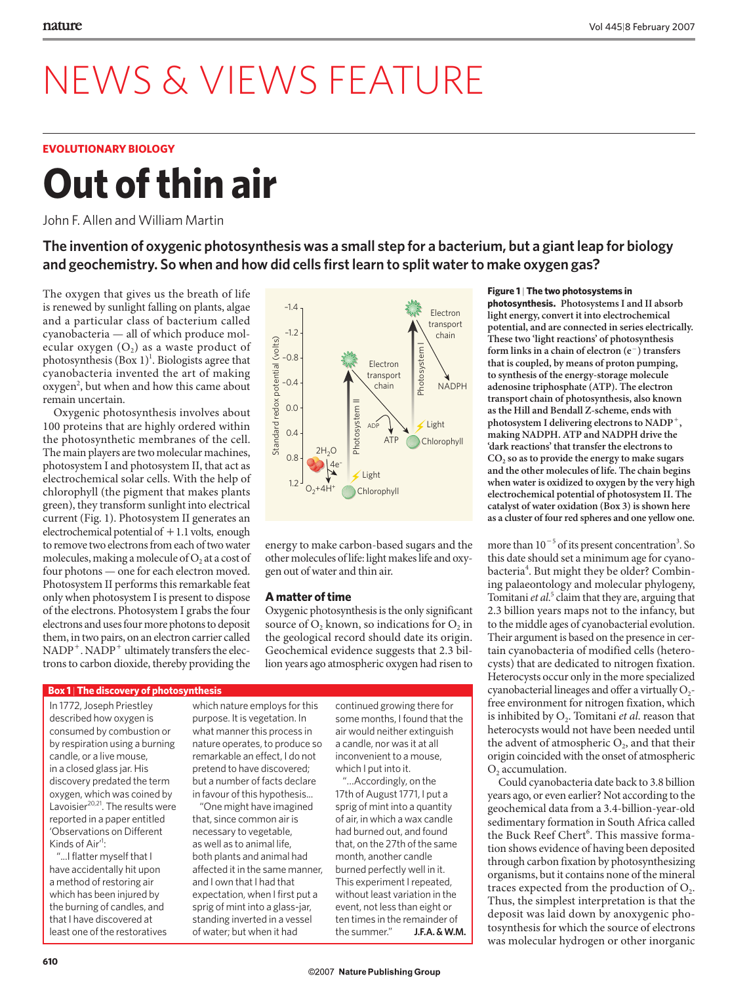## NEWS & VIEWS FEATURE

## **EVOLUTIONARY BIOLOGY**

# **Out of thin air**

John F. Allen and William Martin

**The invention of oxygenic photosynthesis was a small step for a bacterium, but a giant leap for biology and geochemistry. So when and how did cells first learn to split water to make oxygen gas?**

The oxygen that gives us the breath of life is renewed by sunlight falling on plants, algae and a particular class of bacterium called cyanobacteria — all of which produce molecular oxygen  $(O<sub>2</sub>)$  as a waste product of photosynthesis  $(Box 1)^1$ . Biologists agree that cyanobacteria invented the art of making oxygen<sup>2</sup>, but when and how this came about remain uncertain.

Oxygenic photosynthesis involves about 100 proteins that are highly ordered within the photosynthetic membranes of the cell. The main players are two molecular machines, photosystem I and photosystem II, that act as electrochemical solar cells. With the help of chlorophyll (the pigment that makes plants green), they transform sunlight into electrical current (Fig. 1). Photosystem II generates an electrochemical potential of  $+1.1$  volts, enough to remove two electrons from each of two water molecules, making a molecule of  $O<sub>2</sub>$  at a cost of four photons — one for each electron moved. Photosystem II performs this remarkable feat only when photosystem I is present to dispose of the electrons. Photosystem I grabs the four electrons and uses four more photons to deposit them, in two pairs, on an electron carrier called  $NADP^+$ .  $NADP^+$  ultimately transfers the electrons to carbon dioxide, thereby providing the



energy to make carbon-based sugars and the other molecules of life: light makes life and oxygen out of water and thin air.

## **A matter of time**

Oxygenic photosynthesis is the only significant source of  $O_2$  known, so indications for  $O_2$  in the geological record should date its origin. Geochemical evidence suggests that 2.3 billion years ago atmospheric oxygen had risen to

#### **Box 1** | **The discovery of photosynthesis**

In 1772, Joseph Priestley described how oxygen is consumed by combustion or by respiration using a burning candle, or a live mouse, in a closed glass jar. His discovery predated the term oxygen, which was coined by Lavoisier<sup>20,21</sup>. The results were reported in a paper entitled 'Observations on Different Kinds of Air<sup>1</sup>:

"...I flatter myself that I have accidentally hit upon a method of restoring air which has been injured by the burning of candles, and that I have discovered at least one of the restoratives which nature employs for this purpose. It is vegetation. In what manner this process in nature operates, to produce so remarkable an effect, I do not pretend to have discovered; but a number of facts declare in favour of this hypothesis...

"One might have imagined that, since common air is necessary to vegetable, as well as to animal life, both plants and animal had affected it in the same manner, and I own that I had that expectation, when I first put a sprig of mint into a glass-jar, standing inverted in a vessel of water; but when it had

continued growing there for some months, I found that the air would neither extinguish a candle, nor was it at all inconvenient to a mouse, which I put into it.

"…Accordingly, on the 17th of August 1771, I put a sprig of mint into a quantity of air, in which a wax candle had burned out, and found that, on the 27th of the same month, another candle burned perfectly well in it. This experiment I repeated, without least variation in the event, not less than eight or ten times in the remainder of the summer." **J.F.A. & W.M.**

### **Figure 1** | **The two photosystems in**

**photosynthesis. Photosystems I and II absorb light energy, convert it into electrochemical potential, and are connected in series electrically. These two 'light reactions' of photosynthesis form links in a chain of electron (e**-**) transfers that is coupled, by means of proton pumping, to synthesis of the energy-storage molecule adenosine triphosphate (ATP). The electron transport chain of photosynthesis, also known as the Hill and Bendall Z-scheme, ends with photosystem I delivering electrons to NADP, making NADPH. ATP and NADPH drive the 'dark reactions' that transfer the electrons to**  CO<sub>2</sub> so as to provide the energy to make sugars **and the other molecules of life. The chain begins when water is oxidized to oxygen by the very high electrochemical potential of photosystem II. The catalyst of water oxidation (Box 3) is shown here as a cluster of four red spheres and one yellow one.**

more than  $10^{-5}$  of its present concentration<sup>3</sup>. So this date should set a minimum age for cyanobacteria<sup>4</sup>. But might they be older? Combining palaeontology and molecular phylogeny, Tomitani et al.<sup>5</sup> claim that they are, arguing that 2.3 billion years maps not to the infancy, but to the middle ages of cyanobacterial evolution. Their argument is based on the presence in certain cyanobacteria of modified cells (heterocysts) that are dedicated to nitrogen fixation. Heterocysts occur only in the more specialized cyanobacterial lineages and offer a virtually  $O_2$ free environment for nitrogen fixation, which is inhibited by  $O_2$ . Tomitani *et al*. reason that heterocysts would not have been needed until the advent of atmospheric  $O_2$ , and that their origin coincided with the onset of atmospheric  $O<sub>2</sub>$  accumulation.

Could cyanobacteria date back to 3.8 billion years ago, or even earlier? Not according to the geochemical data from a 3.4-billion-year-old sedimentary formation in South Africa called the Buck Reef Chert<sup>6</sup>. This massive formation shows evidence of having been deposited through carbon fixation by photosynthesizing organisms, but it contains none of the mineral traces expected from the production of  $O<sub>2</sub>$ . Thus, the simplest interpretation is that the deposit was laid down by anoxygenic photosynthesis for which the source of electrons was molecular hydrogen or other inorganic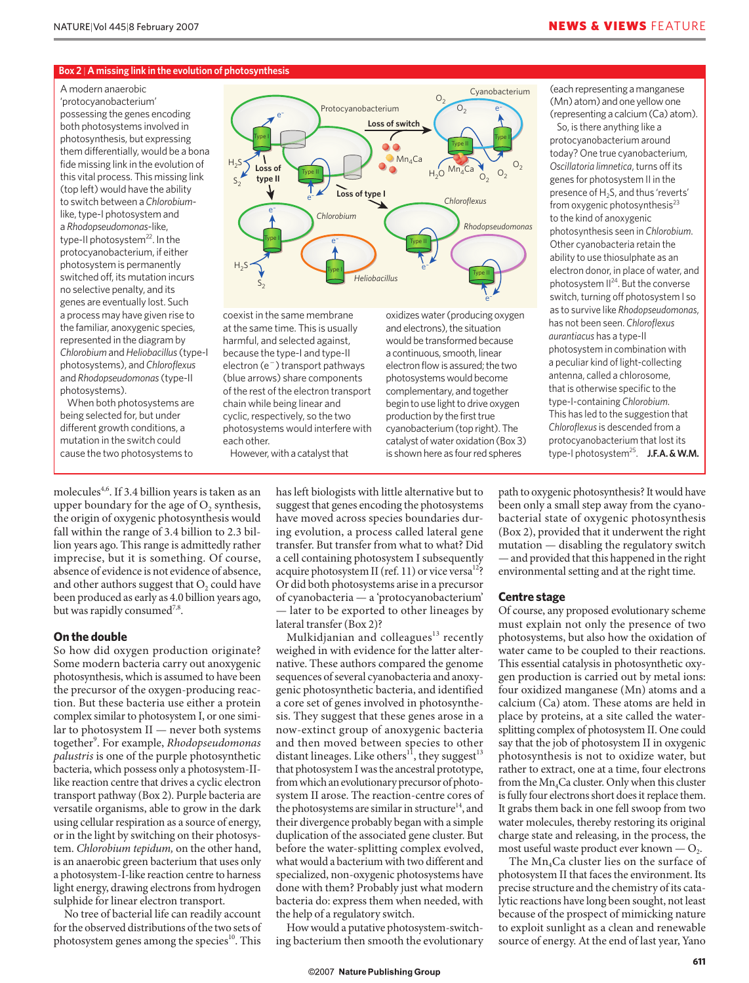#### **Box 2** | **A missing link in the evolution of photosynthesis**

#### A modern anaerobic

'protocyanobacterium' possessing the genes encoding both photosystems involved in photosynthesis, but expressing them differentially, would be a bona fide missing link in the evolution of this vital process. This missing link (top left) would have the ability to switch between a *Chlorobium*like, type-I photosystem and a *Rhodopseudomonas*-like, type-II photosystem<sup>22</sup>. In the protocyanobacterium, if either photosystem is permanently switched off, its mutation incurs no selective penalty, and its genes are eventually lost. Such a process may have given rise to the familiar, anoxygenic species, represented in the diagram by *Chlorobium* and *Heliobacillus* (type-I photosystems), and *Chloroflexus* and *Rhodopseudomonas* (type-II photosystems).

When both photosystems are being selected for, but under different growth conditions, a mutation in the switch could cause the two photosystems to



coexist in the same membrane at the same time. This is usually harmful, and selected against, because the type-I and type-II electron (e<sup>-</sup>) transport pathways (blue arrows) share components of the rest of the electron transport chain while being linear and cyclic, respectively, so the two photosystems would interfere with each other.

However, with a catalyst that

oxidizes water (producing oxygen and electrons), the situation would be transformed because a continuous, smooth, linear electron flow is assured; the two photosystems would become complementary, and together begin to use light to drive oxygen production by the first true cyanobacterium (top right). The catalyst of water oxidation (Box 3) is shown here as four red spheres

(each representing a manganese (Mn) atom) and one yellow one (representing a calcium (Ca) atom).

So, is there anything like a protocyanobacterium around today? One true cyanobacterium, *Oscillatoria limnetica*, turns off its genes for photosystem II in the presence of H<sub>2</sub>S, and thus 'reverts' from oxygenic photosynthesis $^{23}$ to the kind of anoxygenic photosynthesis seen in *Chlorobium*. Other cyanobacteria retain the ability to use thiosulphate as an electron donor, in place of water, and photosystem II24. But the converse switch, turning off photosystem I so as to survive like *Rhodopseudomonas*, has not been seen. *Chloroflexus aurantiacus* has a type-II photosystem in combination with a peculiar kind of light-collecting antenna, called a chlorosome, that is otherwise specific to the type-I-containing *Chlorobium*. This has led to the suggestion that *Chloroflexus* is descended from a protocyanobacterium that lost its type-I photosystem25. **J.F.A. & W.M.**

molecules<sup>4,6</sup>. If 3.4 billion years is taken as an upper boundary for the age of  $O<sub>2</sub>$  synthesis, the origin of oxygenic photosynthesis would fall within the range of 3.4 billion to 2.3 billion years ago. This range is admittedly rather imprecise, but it is something. Of course, absence of evidence is not evidence of absence, and other authors suggest that  $O_2$  could have been produced as early as 4.0 billion years ago, but was rapidly consumed<sup>7,8</sup>.

## **On the double**

So how did oxygen production originate? Some modern bacteria carry out anoxygenic photosynthesis, which is assumed to have been the precursor of the oxygen-producing reaction. But these bacteria use either a protein complex similar to photosystem I, or one similar to photosystem II — never both systems together<sup>9</sup> . For example, *Rhodopseudomonas palustris* is one of the purple photosynthetic bacteria, which possess only a photosystem-IIlike reaction centre that drives a cyclic electron transport pathway (Box 2). Purple bacteria are versatile organisms, able to grow in the dark using cellular respiration as a source of energy, or in the light by switching on their photosystem. *Chlorobium tepidum,* on the other hand, is an anaerobic green bacterium that uses only a photosystem-I-like reaction centre to harness light energy, drawing electrons from hydrogen sulphide for linear electron transport.

No tree of bacterial life can readily account for the observed distributions of the two sets of photosystem genes among the species $10$ . This

has left biologists with little alternative but to suggest that genes encoding the photosystems have moved across species boundaries during evolution, a process called lateral gene transfer. But transfer from what to what? Did a cell containing photosystem I subsequently acquire photosystem II (ref. 11) or vice versa<sup>12</sup>? Or did both photosystems arise in a precursor of cyanobacteria — a 'protocyanobacterium' — later to be exported to other lineages by lateral transfer (Box 2)?

Mulkidjanian and colleagues $13$  recently weighed in with evidence for the latter alternative. These authors compared the genome sequences of several cyanobacteria and anoxygenic photosynthetic bacteria, and identified a core set of genes involved in photosynthesis. They suggest that these genes arose in a now-extinct group of anoxygenic bacteria and then moved between species to other distant lineages. Like others<sup>11</sup>, they suggest<sup>13</sup> that photosystem I was the ancestral prototype, from which an evolutionary precursor of photosystem II arose. The reaction-centre cores of the photosystems are similar in structure<sup>14</sup>, and their divergence probably began with a simple duplication of the associated gene cluster. But before the water-splitting complex evolved, what would a bacterium with two different and specialized, non-oxygenic photosystems have done with them? Probably just what modern bacteria do: express them when needed, with the help of a regulatory switch.

How would a putative photosystem-switching bacterium then smooth the evolutionary

path to oxygenic photosynthesis? It would have been only a small step away from the cyanobacterial state of oxygenic photosynthesis (Box 2), provided that it underwent the right mutation — disabling the regulatory switch — and provided that this happened in the right environmental setting and at the right time.

#### **Centre stage**

Of course, any proposed evolutionary scheme must explain not only the presence of two photo systems, but also how the oxidation of water came to be coupled to their reactions. This essential catalysis in photosynthetic oxygen production is carried out by metal ions: four oxidized manganese (Mn) atoms and a calcium (Ca) atom. These atoms are held in place by proteins, at a site called the watersplitting complex of photosystem II. One could say that the job of photosystem II in oxygenic photosynthesis is not to oxidize water, but rather to extract, one at a time, four electrons from the  $Mn_4$ Ca cluster. Only when this cluster is fully four electrons short does it replace them. It grabs them back in one fell swoop from two water molecules, thereby restoring its original charge state and releasing, in the process, the most useful waste product ever known  $-$  O<sub>2</sub>.

The  $Mn_4$ Ca cluster lies on the surface of photosystem II that faces the environment. Its precise structure and the chemistry of its catalytic reactions have long been sought, not least because of the prospect of mimicking nature to exploit sunlight as a clean and renewable source of energy. At the end of last year, Yano